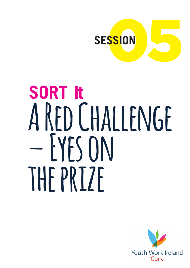

# **SORT It A Red Challenge – Eyes on the prize**

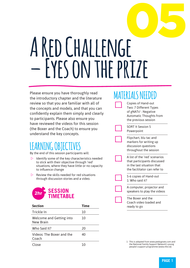# 05 **A Red Challenge – Eyes on the prize**

Please ensure you have thoroughly read the introductory chapter and the literature review so that you are familiar with all of the concepts and models, and that you can confidently explain them simply and clearly to participants. Please also ensure you have reviewed the videos for this session (the Boxer and the Coach) to ensure you understand the key concepts.

## **LEARNING OBJECTIVES**

By the end of this session participants will:

- $\triangleright$  Identify some of the key characteristics needed to stick with their objective through 'red' situations, where they have little or no capacity to influence change
- $\triangleright$  Review the skills needed for red situations through discussion stories and a video.



| <b>Section</b>                        | Time |
|---------------------------------------|------|
| Trickle In                            | 10   |
| Welcome and Getting into<br>New Brain | 10   |
| Who Said It?                          | 20   |
| Videos: The Boxer and the<br>Coach    | 40   |
| lose                                  |      |

### **MATERIALS NEEDED**  Copies of Hand-out Two: 7 Different Types of  $g$ NATs<sup>1</sup> : Negative Automatic Thoughts from the previous session SORT It Session 5 Powerpoint Flipchart, blu tac and markers for writing up discussion questions throughout the session A list of the 'red' scenarios that participants discussed in the last situation that the facilitator can refer to 5-6 copies of Hand-out 1: Who said it? A computer, projector and speakers to play the videos The Boxer and the Coach video loaded and ready to go

1 This is adapted from www.peskygnats.com and the National Family Support Network's young people's support programme (www.nfsn.ie)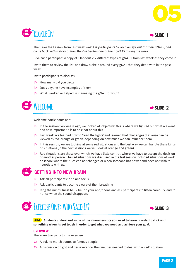



The 'Take the Lesson' from last week was: *Ask participants to keep an eye out for their gNATS, and come back with a story of how they've beaten one of their gNATS during the week*

Give each participant a copy of 'Handout 2: 7 different types of gNATS' from last week as they come in

Invite them to review the list, and draw a circle around every gNAT that they dealt with in the past week

Invite participants to discusss:

- $\triangleright$  How many did you circle
- $\triangleright$  Does anyone have examples of them
- $\triangleright$  What worked or helped in managing the gNAT for you"?





Welcome participants and:

- $\triangleright$  In the session two weeks ago, we looked at 'objective' this is where we figured out what we want, and how important it is to be clear about this
- $\triangleright$  Last week, we learned how to 'read the lights' and learned that challenges that arise can be viewed as red, orange or green, depending on how much we can influence them.
- $\triangleright$  In this session, we are looking at some red situations and the best way we can handle these kinds of situations (in the next sessions we will look at orange and green).
- $\triangleright$  Red situations are those over which we have little control, where we have to accept the decision of another person. The red situations we discussed in the last session included situations at work or school where the rules can not changed or when someone has power and does not wish to negotiate with us.



#### **MIN GETTING INTO NEW BRAIN**

- $\triangleright$  Ask all participants to sit and focus
- $\triangleright$  Ask participants to become aware of their breathing
- $\triangleright$  Ring the mindfulness bell / bellon your app/phone and ask participants to listen carefully, and to notice when the sound disappears





**AIM Students understand some of the characteristics you need to learn in order to stick with something when its get tough in order to get what you need and achieve your goal.**

#### **OVERVIEW**

There are two parts to this exercise

- **1)** A quiz to match quotes to famous people
- **2)** A discussion on grit and perseverance; the qualities needed to deal with a 'red' situation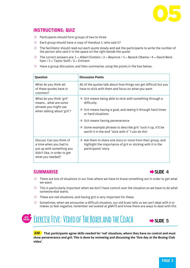

#### **INSTRUCTIONS: QUIZ**

- $\triangleright$  Participants should form groups of two to three
- $\triangleright$  Each group should have a copy of Handout 1: who said it?
- $\triangleright$  The facilitator should read out each quote slowly and ask the participants to write the number of the person who said it in the space on the right beside the quote:
- The correct answers are:  $1 =$  Albert Einstein /  $2 =$  Beyonce /  $3 =$  Barack Obama /  $4 =$  David Beckham  $/ 5 =$  Taylor Swift  $/ 6 =$  Eminem
- $\triangleright$  Have a group discussion, and then summarise, using the points in the box below.

| Question                                                                                                                             | <b>Discussion Points</b>                                                                                                                                                                                                                                                                                                                                                     |
|--------------------------------------------------------------------------------------------------------------------------------------|------------------------------------------------------------------------------------------------------------------------------------------------------------------------------------------------------------------------------------------------------------------------------------------------------------------------------------------------------------------------------|
| What do you think all<br>of these quotes have in<br>common?                                                                          | All of the quotes talk about how things can get difficult but you<br>have to stick with them and focus on what you want                                                                                                                                                                                                                                                      |
| What do you think 'grit'<br>means what are some<br>phrases you might use<br>when talking about 'grit'?                               | $\rightarrow$ Grit means being able to stick with something through a<br>difficulty.<br>$\rightarrow$ Grit means having a goal, and seeing it through hard times<br>or hard situations<br>$\rightarrow$ Grit means having perseverance<br>$\rightarrow$ Some example phrases to describe grit: 'suck it up, it'll be<br>worth it in the end' 'stick with it' 'I can do this' |
| Discuss: Can you think of<br>a time when you had to<br>put up with something you<br>didn't like, in order to get<br>what you needed? | $\rightarrow$ Ask them to share one story or more from their group, and<br>highlight the importance of grit or sticking with it in the<br>participants' story.                                                                                                                                                                                                               |

#### **SUMMARISE** Æ**SLIDE 4**



- $\triangleright$  There are lots of situations in our lives where we have to brave something out in order to get what we want.
- $\triangleright$  This is particularly important when we don't have control over the situation so we have to do what someone else wants.
- $\triangleright$  These are red situations, and having grit is very important for these.
- $\triangleright$  Sometimes, when we encounter a difficult situation, our old brain tells us we can't deal with it or makes us feel negative; remember we looked at gNATS and know there are ways to deal with this



**AIM That participants agree skills needed for 'red' situations, where they have no control and must show perseverance and grit. This is done by reviewing and discussing the 'One day at the Boxing Club video'.**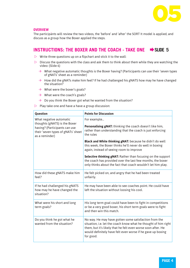

#### **OVERVIEW**

The participants will review the two videos, the 'before' and 'after' the SORT It model is applied, and discuss as a group how the Boxer applied the steps.

#### **INSTRUCTIONS: THE BOXER AND THE COACH - TAKE ONE**  $\rightarrow$  **SLIDE 5**

- $\triangleright$  Write three questions up on a flipchart and stick it to the wall:
- $\triangleright$  Discuss the questions with the class and ask them to think about them while they are watching the video: (Slide 6)
	- $\rightarrow$  What negative automatic thoughts is the Boxer having? (Participants can use their 'seven types of gNATs' sheet as a reminder)
	- $\rightarrow$  How did the gNATs make him feel? If he had challenged his gNATS how may he have changed the situation?
	- $\rightarrow$  What were the boxer's goals?
	- $\rightarrow$  What were the coach's goals?
	- $\rightarrow$  Do you think the Boxer got what he wanted from the situation?
- $\triangleright$  Play take one and have a have a group discussion:

| Question                                                                                                                                          | <b>Points for Discussion</b>                                                                                                                                                                                                                                        |
|---------------------------------------------------------------------------------------------------------------------------------------------------|---------------------------------------------------------------------------------------------------------------------------------------------------------------------------------------------------------------------------------------------------------------------|
| What negative automatic<br>thoughts (gNATS) is the Boxer<br>having? (Participants can use<br>their 'seven types of gNATs' sheet<br>as a reminder) | For example                                                                                                                                                                                                                                                         |
|                                                                                                                                                   | Personalising gNAT: thinking the coach doesn't like him,<br>rather than understanding that the coach is just enforcing<br>the rules                                                                                                                                 |
|                                                                                                                                                   | Black and White thinking gNAT: because he didn't do well<br>this week, the Boxer thinks he'll never do well in boxing<br>again, instead of seeing room to improve                                                                                                   |
|                                                                                                                                                   | <b>Selective thinking gNAT:</b> Rather than focusing on the support<br>the coach has provided over the last few months, the boxer<br>only thinks about the fact that coach wouldn't let him play.                                                                   |
| How did these gNATS make him<br>feel?                                                                                                             | He felt picked on, and angry that he had been treated<br>unfairly.                                                                                                                                                                                                  |
| If he had challenged his gNATS<br>how may he have changed the<br>situation?                                                                       | He may have been able to see coaches point. He could have<br>left the situation without loosing his cool.                                                                                                                                                           |
| What were his short and long<br>term goals?                                                                                                       | His long term goal could have been to fight in competitions<br>or be a very good boxer, his short term goals were to fight<br>and then win this match.                                                                                                              |
| Do you think he got what he<br>wanted from the situation?                                                                                         | No way. He may have gotten some satisfaction from the<br>situation, i.e. let the coach know what he thought of him right<br>them, but it's likely that he felt even worse soon after. He<br>would definitely have felt even worse if he gave up boxing<br>for good. |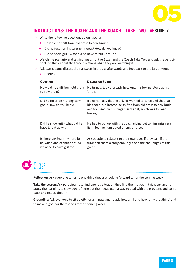

#### **INSTRUCTIONS: THE BOXER AND THE COACH - TAKE TWO**  $\rightarrow$  **SLIDE 7**

- $\triangleright$  Write the following questions up on flipchart:
	- $\rightarrow$  How did he shift from old brain to new brain?
	- $\rightarrow$  Did he focus on his long-term goal? How do you know?
	- $\rightarrow$  Did he show grit / what did he have to put up with?
- $\triangleright$  Watch the scenario and talking heads for the Boxer and the Coach Take Two and ask the participants to think about the three questions while they are watching it
- $\triangleright$  Ask participants discuss their answers in groups afterwards and feedback to the larger group
	- $\rightarrow$  Discuss:

| Question                                                | <b>Discussion Points</b>                                                                                                                                                                           |
|---------------------------------------------------------|----------------------------------------------------------------------------------------------------------------------------------------------------------------------------------------------------|
| How did he shift from old brain                         | He turned, took a breath, held onto his boxing glove as his                                                                                                                                        |
| to new brain?                                           | 'anchor'                                                                                                                                                                                           |
| Did he focus on his long-term<br>goal? How do you know? | It seems likely that he did. He wanted to curse and shout at<br>his coach, but instead he shifted from old brain to new brain<br>and focussed on his longer term goal, which was to keep<br>boxing |
| Did he show grit / what did he                          | He had to put up with the coach giving out to him, missing a                                                                                                                                       |
| have to put up with                                     | fight, feeling humiliated or embarrassed                                                                                                                                                           |
| Is there any learning here for                          | Ask people to relate it to their own lives if they can, if the                                                                                                                                     |
| us, what kind of situations do                          | tutor can share a story about grit and the challenges of this -                                                                                                                                    |
| we need to have grit for                                | great.                                                                                                                                                                                             |



**Reflection:** Ask everyone to name one thing they are looking forward to for the coming week

**Take the Lesson:** Ask participants to find one red situation they find themselves in this week and to apply the learning, to slow down, figure out their goal, plan a way to deal with the problem, and come back and tell us about it

**Grounding:** Ask everyone to sit quietly for a minute and to ask 'how am I and how is my breathing' and to make a goal for themselves for the coming week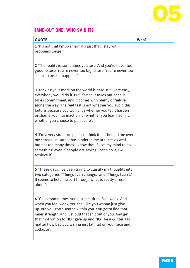

### **HAND-OUT ONE: WHO SAID IT?**

| <b>QUOTE</b>                                                                                                                                                                                                                                                                                                                                                                                                           | Who? |
|------------------------------------------------------------------------------------------------------------------------------------------------------------------------------------------------------------------------------------------------------------------------------------------------------------------------------------------------------------------------------------------------------------------------|------|
| 1 "It's not that I'm so smart; it's just that I stay with<br>problems longer."                                                                                                                                                                                                                                                                                                                                         |      |
| 2 "The reality is: sometimes you lose. And you're never too<br>good to lose. You're never too big to lose. You're never too<br>smart to lose. It happens."                                                                                                                                                                                                                                                             |      |
| <b>3</b> "Making your mark on the world is hard. If it were easy,<br>everybody would do it. But it's not. It takes patience, it<br>takes commitment, and it comes with plenty of failure<br>along the way. The real test is not whether you avoid this<br>failure, because you won't. It's whether you let it harden<br>or shame you into inaction, or whether you learn from it;<br>whether you choose to persevere". |      |
| 4 "I'm a very stubborn person. I think it has helped me over<br>my career. I'm sure it has hindered me at times as well,<br>but not too many times. I know that if I set my mind to do<br>something, even if people are saying I can't do it, I will<br>achieve it".                                                                                                                                                   |      |
| 5 "These days, I've been trying to classify my thoughts into<br>two categories: "Things I can change," and "Things I can't."<br>It seems to help me sort through what to really stress<br>about".                                                                                                                                                                                                                      |      |
| 6 "Cause sometimes, you just feel tired. Feel weak. And<br>when you feel weak, you feel like you wanna just give<br>up. But you gotta search within you. You gotta find that<br>inner strength, and just pull that shit out of you. And get<br>that motivation to NOT give up and NOT be a quitter. No<br>matter how bad you wanna just fall flat on your face and<br>collapse".                                       |      |